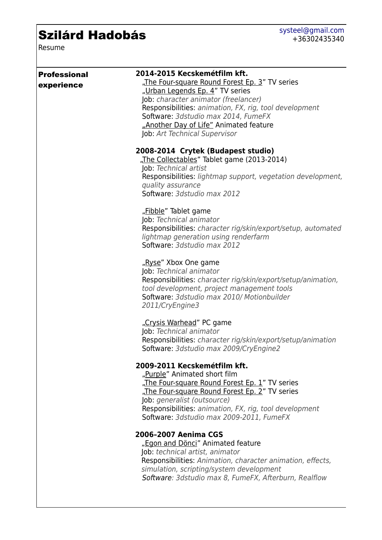## Szilárd Hadobás

Resume

| <b>Professional</b><br>experience | 2014-2015 Kecskemétfilm kft.<br>"The Four-square Round Forest Ep. 3" TV series<br>"Urban Legends Ep. 4" TV series<br>Job: character animator (freelancer)<br>Responsibilities: animation, FX, rig, tool development<br>Software: 3dstudio max 2014, FumeFX<br>"Another Day of Life" Animated feature<br>Job: Art Technical Supervisor |
|-----------------------------------|---------------------------------------------------------------------------------------------------------------------------------------------------------------------------------------------------------------------------------------------------------------------------------------------------------------------------------------|
|                                   | 2008-2014 Crytek (Budapest studio)<br>"The Collectables" Tablet game (2013-2014)<br>Job: Technical artist<br>Responsibilities: lightmap support, vegetation development,<br>quality assurance<br>Software: 3dstudio max 2012                                                                                                          |
|                                   | "Fibble" Tablet game<br>Job: Technical animator<br>Responsibilities: character rig/skin/export/setup, automated<br>lightmap generation using renderfarm<br>Software: 3dstudio max 2012                                                                                                                                                |
|                                   | "Ryse" Xbox One game<br>Job: Technical animator<br>Responsibilities: character rig/skin/export/setup/animation,<br>tool development, project management tools<br>Software: 3dstudio max 2010/ Motionbuilder<br>2011/CryEngine3                                                                                                        |
|                                   | "Crysis Warhead" PC game<br>Job: Technical animator<br>Responsibilities: character rig/skin/export/setup/animation<br>Software: 3dstudio max 2009/CryEngine2                                                                                                                                                                          |
|                                   | 2009-2011 Kecskemétfilm kft.<br>"Purple" Animated short film<br>"The Four-square Round Forest Ep. 1" TV series<br>"The Four-square Round Forest Ep. 2" TV series<br>Job: generalist (outsource)<br>Responsibilities: animation, FX, rig, tool development<br>Software: 3dstudio max 2009-2011, FumeFX                                 |
|                                   | 2006-2007 Aenima CGS<br>"Egon and Dönci" Animated feature<br>Job: technical artist, animator<br>Responsibilities: Animation, character animation, effects,<br>simulation, scripting/system development<br>Software: 3dstudio max 8, FumeFX, Afterburn, Realflow                                                                       |